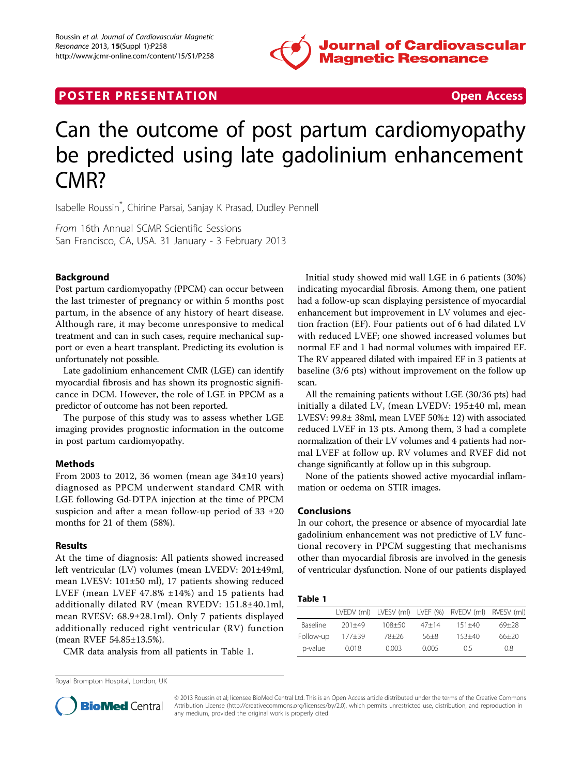

## **POSTER PRESENTATION CONSUMING THE SECOND CONSUMING THE SECOND CONSUMING THE SECOND CONSUMING THE SECOND CONSUMING THE SECOND CONSUMING THE SECOND CONSUMING THE SECOND CONSUMING THE SECOND CONSUMING THE SECOND CONSUMING**

# Can the outcome of post partum cardiomyopathy be predicted using late gadolinium enhancement CMR?

Isabelle Roussin\* , Chirine Parsai, Sanjay K Prasad, Dudley Pennell

From 16th Annual SCMR Scientific Sessions San Francisco, CA, USA. 31 January - 3 February 2013

### Background

Post partum cardiomyopathy (PPCM) can occur between the last trimester of pregnancy or within 5 months post partum, in the absence of any history of heart disease. Although rare, it may become unresponsive to medical treatment and can in such cases, require mechanical support or even a heart transplant. Predicting its evolution is unfortunately not possible.

Late gadolinium enhancement CMR (LGE) can identify myocardial fibrosis and has shown its prognostic significance in DCM. However, the role of LGE in PPCM as a predictor of outcome has not been reported.

The purpose of this study was to assess whether LGE imaging provides prognostic information in the outcome in post partum cardiomyopathy.

#### Methods

From 2003 to 2012, 36 women (mean age  $34\pm10$  years) diagnosed as PPCM underwent standard CMR with LGE following Gd-DTPA injection at the time of PPCM suspicion and after a mean follow-up period of  $33 \pm 20$ months for 21 of them (58%).

#### Results

At the time of diagnosis: All patients showed increased left ventricular (LV) volumes (mean LVEDV: 201±49ml, mean LVESV: 101±50 ml), 17 patients showing reduced LVEF (mean LVEF 47.8% ±14%) and 15 patients had additionally dilated RV (mean RVEDV: 151.8±40.1ml, mean RVESV: 68.9±28.1ml). Only 7 patients displayed additionally reduced right ventricular (RV) function (mean RVEF 54.85±13.5%).

CMR data analysis from all patients in Table 1.

Initial study showed mid wall LGE in 6 patients (30%) indicating myocardial fibrosis. Among them, one patient had a follow-up scan displaying persistence of myocardial enhancement but improvement in LV volumes and ejection fraction (EF). Four patients out of 6 had dilated LV with reduced LVEF; one showed increased volumes but normal EF and 1 had normal volumes with impaired EF. The RV appeared dilated with impaired EF in 3 patients at baseline (3/6 pts) without improvement on the follow up scan.

All the remaining patients without LGE (30/36 pts) had initially a dilated LV, (mean LVEDV: 195±40 ml, mean LVESV: 99.8± 38ml, mean LVEF 50%± 12) with associated reduced LVEF in 13 pts. Among them, 3 had a complete normalization of their LV volumes and 4 patients had normal LVEF at follow up. RV volumes and RVEF did not change significantly at follow up in this subgroup.

None of the patients showed active myocardial inflammation or oedema on STIR images.

#### Conclusions

In our cohort, the presence or absence of myocardial late gadolinium enhancement was not predictive of LV functional recovery in PPCM suggesting that mechanisms other than myocardial fibrosis are involved in the genesis of ventricular dysfunction. None of our patients displayed

#### Table 1

|           |            |            |           | LVEDV (ml) LVESV (ml) LVEF (%) RVEDV (ml) RVESV (ml) |           |
|-----------|------------|------------|-----------|------------------------------------------------------|-----------|
| Baseline  | $201 + 49$ | $108 + 50$ | $47 + 14$ | $151 + 40$                                           | $69 + 28$ |
| Follow-up | $177 + 39$ | $78+26$    | $56+8$    | $153 + 40$                                           | $66+20$   |
| p-value   | 0.018      | 0.003      | 0.005     | O 5                                                  | 0.8       |

Royal Brompton Hospital, London, UK



© 2013 Roussin et al; licensee BioMed Central Ltd. This is an Open Access article distributed under the terms of the Creative Commons Attribution License [\(http://creativecommons.org/licenses/by/2.0](http://creativecommons.org/licenses/by/2.0)), which permits unrestricted use, distribution, and reproduction in any medium, provided the original work is properly cited.